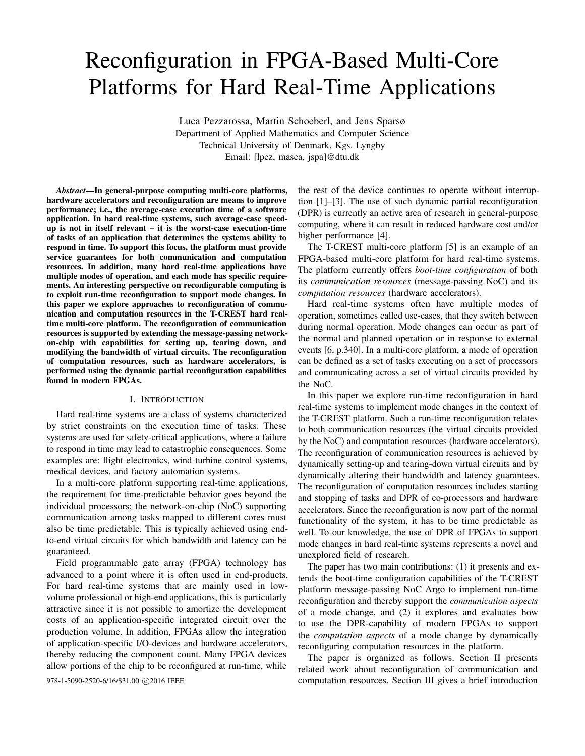# Reconfiguration in FPGA-Based Multi-Core Platforms for Hard Real-Time Applications

Luca Pezzarossa, Martin Schoeberl, and Jens Sparsø Department of Applied Mathematics and Computer Science Technical University of Denmark, Kgs. Lyngby Email: [lpez, masca, jspa]@dtu.dk

*Abstract*—In general-purpose computing multi-core platforms, hardware accelerators and reconfiguration are means to improve performance; i.e., the average-case execution time of a software application. In hard real-time systems, such average-case speedup is not in itself relevant – it is the worst-case execution-time of tasks of an application that determines the systems ability to respond in time. To support this focus, the platform must provide service guarantees for both communication and computation resources. In addition, many hard real-time applications have multiple modes of operation, and each mode has specific requirements. An interesting perspective on reconfigurable computing is to exploit run-time reconfiguration to support mode changes. In this paper we explore approaches to reconfiguration of communication and computation resources in the T-CREST hard realtime multi-core platform. The reconfiguration of communication resources is supported by extending the message-passing networkon-chip with capabilities for setting up, tearing down, and modifying the bandwidth of virtual circuits. The reconfiguration of computation resources, such as hardware accelerators, is performed using the dynamic partial reconfiguration capabilities found in modern FPGAs.

## I. INTRODUCTION

Hard real-time systems are a class of systems characterized by strict constraints on the execution time of tasks. These systems are used for safety-critical applications, where a failure to respond in time may lead to catastrophic consequences. Some examples are: flight electronics, wind turbine control systems, medical devices, and factory automation systems.

In a multi-core platform supporting real-time applications, the requirement for time-predictable behavior goes beyond the individual processors; the network-on-chip (NoC) supporting communication among tasks mapped to different cores must also be time predictable. This is typically achieved using endto-end virtual circuits for which bandwidth and latency can be guaranteed.

Field programmable gate array (FPGA) technology has advanced to a point where it is often used in end-products. For hard real-time systems that are mainly used in lowvolume professional or high-end applications, this is particularly attractive since it is not possible to amortize the development costs of an application-specific integrated circuit over the production volume. In addition, FPGAs allow the integration of application-specific I/O-devices and hardware accelerators, thereby reducing the component count. Many FPGA devices allow portions of the chip to be reconfigured at run-time, while

the rest of the device continues to operate without interruption [1]–[3]. The use of such dynamic partial reconfiguration (DPR) is currently an active area of research in general-purpose computing, where it can result in reduced hardware cost and/or higher performance [4].

The T-CREST multi-core platform [5] is an example of an FPGA-based multi-core platform for hard real-time systems. The platform currently offers *boot-time configuration* of both its *communication resources* (message-passing NoC) and its *computation resources* (hardware accelerators).

Hard real-time systems often have multiple modes of operation, sometimes called use-cases, that they switch between during normal operation. Mode changes can occur as part of the normal and planned operation or in response to external events [6, p.340]. In a multi-core platform, a mode of operation can be defined as a set of tasks executing on a set of processors and communicating across a set of virtual circuits provided by the NoC.

In this paper we explore run-time reconfiguration in hard real-time systems to implement mode changes in the context of the T-CREST platform. Such a run-time reconfiguration relates to both communication resources (the virtual circuits provided by the NoC) and computation resources (hardware accelerators). The reconfiguration of communication resources is achieved by dynamically setting-up and tearing-down virtual circuits and by dynamically altering their bandwidth and latency guarantees. The reconfiguration of computation resources includes starting and stopping of tasks and DPR of co-processors and hardware accelerators. Since the reconfiguration is now part of the normal functionality of the system, it has to be time predictable as well. To our knowledge, the use of DPR of FPGAs to support mode changes in hard real-time systems represents a novel and unexplored field of research.

The paper has two main contributions: (1) it presents and extends the boot-time configuration capabilities of the T-CREST platform message-passing NoC Argo to implement run-time reconfiguration and thereby support the *communication aspects* of a mode change, and (2) it explores and evaluates how to use the DPR-capability of modern FPGAs to support the *computation aspects* of a mode change by dynamically reconfiguring computation resources in the platform.

The paper is organized as follows. Section II presents related work about reconfiguration of communication and 978-1-5090-2520-6/16/\$31.00  $\odot$ 2016 IEEE computation resources. Section III gives a brief introduction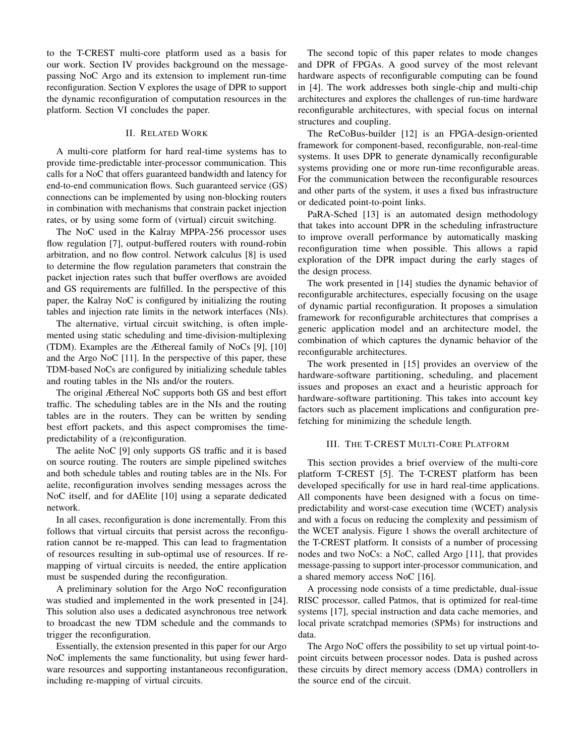to the T-CREST multi-core platform used as a basis for our work. Section IV provides background on the messagepassing NoC Argo and its extension to implement run-time reconfiguration. Section V explores the usage of DPR to support the dynamic reconfiguration of computation resources in the platform. Section VI concludes the paper.

## II. RELATED WORK

A multi-core platform for hard real-time systems has to provide time-predictable inter-processor communication. This calls for a NoC that offers guaranteed bandwidth and latency for end-to-end communication flows. Such guaranteed service (GS) connections can be implemented by using non-blocking routers in combination with mechanisms that constrain packet injection rates, or by using some form of (virtual) circuit switching.

The NoC used in the Kalray MPPA-256 processor uses flow regulation [7], output-buffered routers with round-robin arbitration, and no flow control. Network calculus [8] is used to determine the flow regulation parameters that constrain the packet injection rates such that buffer overflows are avoided and GS requirements are fulfilled. In the perspective of this paper, the Kalray NoC is configured by initializing the routing tables and injection rate limits in the network interfaces (NIs).

The alternative, virtual circuit switching, is often implemented using static scheduling and time-division-multiplexing (TDM). Examples are the Æthereal family of NoCs [9], [10] and the Argo NoC [11]. In the perspective of this paper, these TDM-based NoCs are configured by initializing schedule tables and routing tables in the NIs and/or the routers.

The original Æthereal NoC supports both GS and best effort traffic. The scheduling tables are in the NIs and the routing tables are in the routers. They can be written by sending best effort packets, and this aspect compromises the timepredictability of a (re)configuration.

The aelite NoC [9] only supports GS traffic and it is based on source routing. The routers are simple pipelined switches and both schedule tables and routing tables are in the NIs. For aelite, reconfiguration involves sending messages across the NoC itself, and for dAElite [10] using a separate dedicated network.

In all cases, reconfiguration is done incrementally. From this follows that virtual circuits that persist across the reconfiguration cannot be re-mapped. This can lead to fragmentation of resources resulting in sub-optimal use of resources. If remapping of virtual circuits is needed, the entire application must be suspended during the reconfiguration.

A preliminary solution for the Argo NoC reconfiguration was studied and implemented in the work presented in [24]. This solution also uses a dedicated asynchronous tree network to broadcast the new TDM schedule and the commands to trigger the reconfiguration.

Essentially, the extension presented in this paper for our Argo NoC implements the same functionality, but using fewer hardware resources and supporting instantaneous reconfiguration, including re-mapping of virtual circuits.

The second topic of this paper relates to mode changes and DPR of FPGAs. A good survey of the most relevant hardware aspects of reconfigurable computing can be found in [4]. The work addresses both single-chip and multi-chip architectures and explores the challenges of run-time hardware reconfigurable architectures, with special focus on internal structures and coupling.

The ReCoBus-builder [12] is an FPGA-design-oriented framework for component-based, reconfigurable, non-real-time systems. It uses DPR to generate dynamically reconfigurable systems providing one or more run-time reconfigurable areas. For the communication between the reconfigurable resources and other parts of the system, it uses a fixed bus infrastructure or dedicated point-to-point links.

PaRA-Sched [13] is an automated design methodology that takes into account DPR in the scheduling infrastructure to improve overall performance by automatically masking reconfiguration time when possible. This allows a rapid exploration of the DPR impact during the early stages of the design process.

The work presented in [14] studies the dynamic behavior of reconfigurable architectures, especially focusing on the usage of dynamic partial reconfiguration. It proposes a simulation framework for reconfigurable architectures that comprises a generic application model and an architecture model, the combination of which captures the dynamic behavior of the reconfigurable architectures.

The work presented in [15] provides an overview of the hardware-software partitioning, scheduling, and placement issues and proposes an exact and a heuristic approach for hardware-software partitioning. This takes into account key factors such as placement implications and configuration prefetching for minimizing the schedule length.

# III. THE T-CREST MULTI-CORE PLATFORM

This section provides a brief overview of the multi-core platform T-CREST [5]. The T-CREST platform has been developed specifically for use in hard real-time applications. All components have been designed with a focus on timepredictability and worst-case execution time (WCET) analysis and with a focus on reducing the complexity and pessimism of the WCET analysis. Figure 1 shows the overall architecture of the T-CREST platform. It consists of a number of processing nodes and two NoCs: a NoC, called Argo [11], that provides message-passing to support inter-processor communication, and a shared memory access NoC [16].

A processing node consists of a time predictable, dual-issue RISC processor, called Patmos, that is optimized for real-time systems [17], special instruction and data cache memories, and local private scratchpad memories (SPMs) for instructions and data.

The Argo NoC offers the possibility to set up virtual point-topoint circuits between processor nodes. Data is pushed across these circuits by direct memory access (DMA) controllers in the source end of the circuit.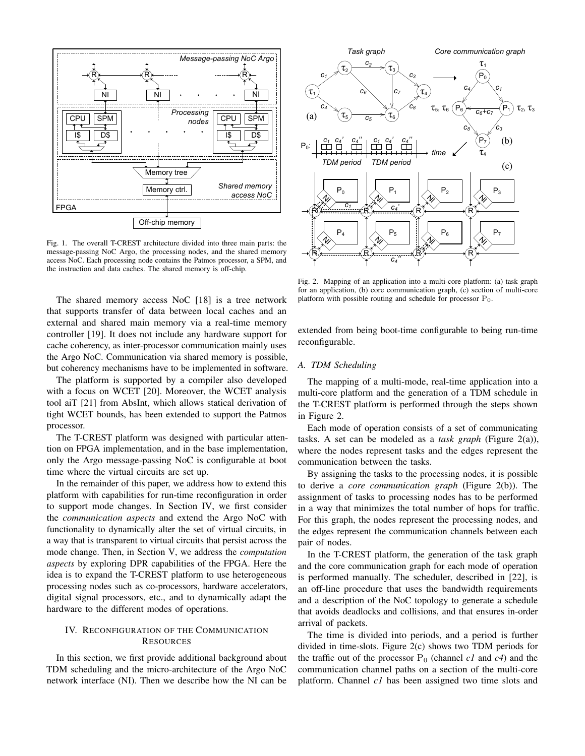

Fig. 1. The overall T-CREST architecture divided into three main parts: the message-passing NoC Argo, the processing nodes, and the shared memory access NoC. Each processing node contains the Patmos processor, a SPM, and the instruction and data caches. The shared memory is off-chip.

The shared memory access NoC [18] is a tree network that supports transfer of data between local caches and an external and shared main memory via a real-time memory controller [19]. It does not include any hardware support for cache coherency, as inter-processor communication mainly uses the Argo NoC. Communication via shared memory is possible, but coherency mechanisms have to be implemented in software.

The platform is supported by a compiler also developed with a focus on WCET [20]. Moreover, the WCET analysis tool aiT [21] from AbsInt, which allows statical derivation of tight WCET bounds, has been extended to support the Patmos processor.

The T-CREST platform was designed with particular attention on FPGA implementation, and in the base implementation, only the Argo message-passing NoC is configurable at boot time where the virtual circuits are set up.

In the remainder of this paper, we address how to extend this platform with capabilities for run-time reconfiguration in order to support mode changes. In Section IV, we first consider the *communication aspects* and extend the Argo NoC with functionality to dynamically alter the set of virtual circuits, in a way that is transparent to virtual circuits that persist across the mode change. Then, in Section V, we address the *computation aspects* by exploring DPR capabilities of the FPGA. Here the idea is to expand the T-CREST platform to use heterogeneous processing nodes such as co-processors, hardware accelerators, digital signal processors, etc., and to dynamically adapt the hardware to the different modes of operations.

# IV. RECONFIGURATION OF THE COMMUNICATION **RESOURCES**

In this section, we first provide additional background about TDM scheduling and the micro-architecture of the Argo NoC network interface (NI). Then we describe how the NI can be



Fig. 2. Mapping of an application into a multi-core platform: (a) task graph for an application, (b) core communication graph, (c) section of multi-core platform with possible routing and schedule for processor  $P_0$ .

extended from being boot-time configurable to being run-time reconfigurable.

## *A. TDM Scheduling*

The mapping of a multi-mode, real-time application into a multi-core platform and the generation of a TDM schedule in the T-CREST platform is performed through the steps shown in Figure 2.

Each mode of operation consists of a set of communicating tasks. A set can be modeled as a *task graph* (Figure 2(a)), where the nodes represent tasks and the edges represent the communication between the tasks.

By assigning the tasks to the processing nodes, it is possible to derive a *core communication graph* (Figure 2(b)). The assignment of tasks to processing nodes has to be performed in a way that minimizes the total number of hops for traffic. For this graph, the nodes represent the processing nodes, and the edges represent the communication channels between each pair of nodes.

In the T-CREST platform, the generation of the task graph and the core communication graph for each mode of operation is performed manually. The scheduler, described in [22], is an off-line procedure that uses the bandwidth requirements and a description of the NoC topology to generate a schedule that avoids deadlocks and collisions, and that ensures in-order arrival of packets.

The time is divided into periods, and a period is further divided in time-slots. Figure 2(c) shows two TDM periods for the traffic out of the processor  $P_0$  (channel *c1* and *c4*) and the communication channel paths on a section of the multi-core platform. Channel *c1* has been assigned two time slots and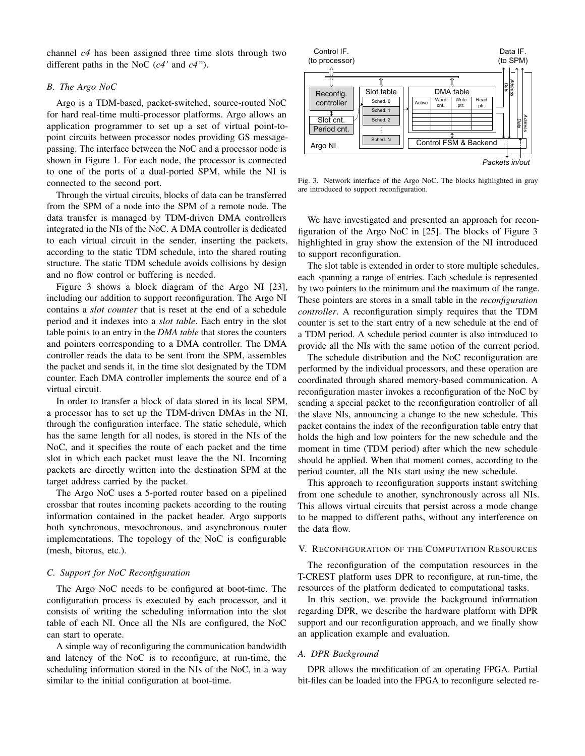channel *c4* has been assigned three time slots through two different paths in the NoC (*c4'* and *c4"*).

## *B. The Argo NoC*

Argo is a TDM-based, packet-switched, source-routed NoC for hard real-time multi-processor platforms. Argo allows an application programmer to set up a set of virtual point-topoint circuits between processor nodes providing GS messagepassing. The interface between the NoC and a processor node is shown in Figure 1. For each node, the processor is connected to one of the ports of a dual-ported SPM, while the NI is connected to the second port.

Through the virtual circuits, blocks of data can be transferred from the SPM of a node into the SPM of a remote node. The data transfer is managed by TDM-driven DMA controllers integrated in the NIs of the NoC. A DMA controller is dedicated to each virtual circuit in the sender, inserting the packets, according to the static TDM schedule, into the shared routing structure. The static TDM schedule avoids collisions by design and no flow control or buffering is needed.

Figure 3 shows a block diagram of the Argo NI [23], including our addition to support reconfiguration. The Argo NI contains a *slot counter* that is reset at the end of a schedule period and it indexes into a *slot table*. Each entry in the slot table points to an entry in the *DMA table* that stores the counters and pointers corresponding to a DMA controller. The DMA controller reads the data to be sent from the SPM, assembles the packet and sends it, in the time slot designated by the TDM counter. Each DMA controller implements the source end of a virtual circuit.

In order to transfer a block of data stored in its local SPM, a processor has to set up the TDM-driven DMAs in the NI, through the configuration interface. The static schedule, which has the same length for all nodes, is stored in the NIs of the NoC, and it specifies the route of each packet and the time slot in which each packet must leave the the NI. Incoming packets are directly written into the destination SPM at the target address carried by the packet.

The Argo NoC uses a 5-ported router based on a pipelined crossbar that routes incoming packets according to the routing information contained in the packet header. Argo supports both synchronous, mesochronous, and asynchronous router implementations. The topology of the NoC is configurable (mesh, bitorus, etc.).

## *C. Support for NoC Reconfiguration*

The Argo NoC needs to be configured at boot-time. The configuration process is executed by each processor, and it consists of writing the scheduling information into the slot table of each NI. Once all the NIs are configured, the NoC can start to operate.

A simple way of reconfiguring the communication bandwidth and latency of the NoC is to reconfigure, at run-time, the scheduling information stored in the NIs of the NoC, in a way similar to the initial configuration at boot-time.



Fig. 3. Network interface of the Argo NoC. The blocks highlighted in gray are introduced to support reconfiguration.

We have investigated and presented an approach for reconfiguration of the Argo NoC in [25]. The blocks of Figure 3 highlighted in gray show the extension of the NI introduced to support reconfiguration.

The slot table is extended in order to store multiple schedules, each spanning a range of entries. Each schedule is represented by two pointers to the minimum and the maximum of the range. These pointers are stores in a small table in the *reconfiguration controller*. A reconfiguration simply requires that the TDM counter is set to the start entry of a new schedule at the end of a TDM period. A schedule period counter is also introduced to provide all the NIs with the same notion of the current period.

The schedule distribution and the NoC reconfiguration are performed by the individual processors, and these operation are coordinated through shared memory-based communication. A reconfiguration master invokes a reconfiguration of the NoC by sending a special packet to the reconfiguration controller of all the slave NIs, announcing a change to the new schedule. This packet contains the index of the reconfiguration table entry that holds the high and low pointers for the new schedule and the moment in time (TDM period) after which the new schedule should be applied. When that moment comes, according to the period counter, all the NIs start using the new schedule.

This approach to reconfiguration supports instant switching from one schedule to another, synchronously across all NIs. This allows virtual circuits that persist across a mode change to be mapped to different paths, without any interference on the data flow.

#### V. RECONFIGURATION OF THE COMPUTATION RESOURCES

The reconfiguration of the computation resources in the T-CREST platform uses DPR to reconfigure, at run-time, the resources of the platform dedicated to computational tasks.

In this section, we provide the background information regarding DPR, we describe the hardware platform with DPR support and our reconfiguration approach, and we finally show an application example and evaluation.

#### *A. DPR Background*

DPR allows the modification of an operating FPGA. Partial bit-files can be loaded into the FPGA to reconfigure selected re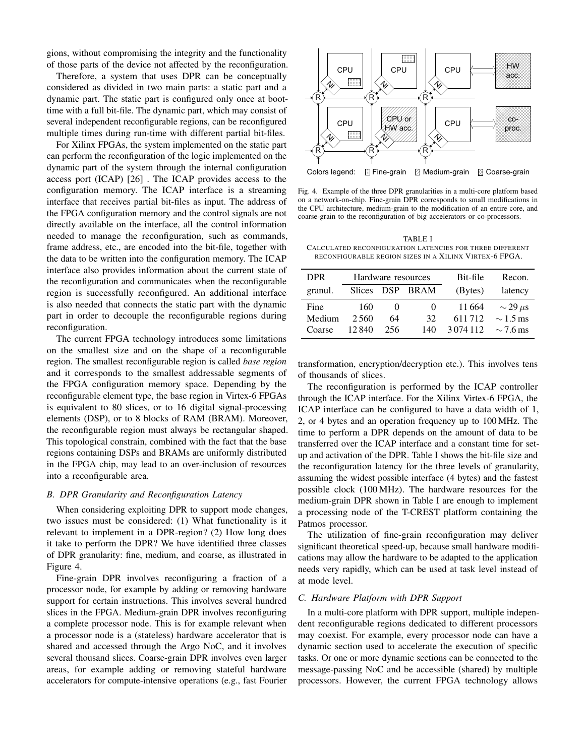gions, without compromising the integrity and the functionality of those parts of the device not affected by the reconfiguration.

Therefore, a system that uses DPR can be conceptually considered as divided in two main parts: a static part and a dynamic part. The static part is configured only once at boottime with a full bit-file. The dynamic part, which may consist of several independent reconfigurable regions, can be reconfigured multiple times during run-time with different partial bit-files.

For Xilinx FPGAs, the system implemented on the static part can perform the reconfiguration of the logic implemented on the dynamic part of the system through the internal configuration access port (ICAP) [26] . The ICAP provides access to the configuration memory. The ICAP interface is a streaming interface that receives partial bit-files as input. The address of the FPGA configuration memory and the control signals are not directly available on the interface, all the control information needed to manage the reconfiguration, such as commands, frame address, etc., are encoded into the bit-file, together with the data to be written into the configuration memory. The ICAP interface also provides information about the current state of the reconfiguration and communicates when the reconfigurable region is successfully reconfigured. An additional interface is also needed that connects the static part with the dynamic part in order to decouple the reconfigurable regions during reconfiguration.

The current FPGA technology introduces some limitations on the smallest size and on the shape of a reconfigurable region. The smallest reconfigurable region is called *base region* and it corresponds to the smallest addressable segments of the FPGA configuration memory space. Depending by the reconfigurable element type, the base region in Virtex-6 FPGAs is equivalent to 80 slices, or to 16 digital signal-processing elements (DSP), or to 8 blocks of RAM (BRAM). Moreover, the reconfigurable region must always be rectangular shaped. This topological constrain, combined with the fact that the base regions containing DSPs and BRAMs are uniformly distributed in the FPGA chip, may lead to an over-inclusion of resources into a reconfigurable area.

# *B. DPR Granularity and Reconfiguration Latency*

When considering exploiting DPR to support mode changes, two issues must be considered: (1) What functionality is it relevant to implement in a DPR-region? (2) How long does it take to perform the DPR? We have identified three classes of DPR granularity: fine, medium, and coarse, as illustrated in Figure 4.

Fine-grain DPR involves reconfiguring a fraction of a processor node, for example by adding or removing hardware support for certain instructions. This involves several hundred slices in the FPGA. Medium-grain DPR involves reconfiguring a complete processor node. This is for example relevant when a processor node is a (stateless) hardware accelerator that is shared and accessed through the Argo NoC, and it involves several thousand slices. Coarse-grain DPR involves even larger areas, for example adding or removing stateful hardware accelerators for compute-intensive operations (e.g., fast Fourier



Colors legend: Fine-grain **Z Medium-grain & Coarse-grain** 

Fig. 4. Example of the three DPR granularities in a multi-core platform based on a network-on-chip. Fine-grain DPR corresponds to small modifications in the CPU architecture, medium-grain to the modification of an entire core, and coarse-grain to the reconfiguration of big accelerators or co-processors.

TABLE I CALCULATED RECONFIGURATION LATENCIES FOR THREE DIFFERENT RECONFIGURABLE REGION SIZES IN A XILINX VIRTEX-6 FPGA.

| <b>DPR</b> | Hardware resources |          |          | Bit-file    | Recon.            |
|------------|--------------------|----------|----------|-------------|-------------------|
| granul.    | <b>Slices</b>      |          | DSP BRAM | (Bytes)     | latency           |
| Fine       | 160                | $\theta$ | $\theta$ | 11664       | $\sim$ 29 $\mu$ s |
| Medium     | 2.560              | 64       | 32       | 611712      | $\sim$ 1.5 ms     |
| Coarse     | 12.840             | 256      | 140      | 3 0 74 1 12 | $\sim$ 7.6 ms     |

transformation, encryption/decryption etc.). This involves tens of thousands of slices.

The reconfiguration is performed by the ICAP controller through the ICAP interface. For the Xilinx Virtex-6 FPGA, the ICAP interface can be configured to have a data width of 1, 2, or 4 bytes and an operation frequency up to 100 MHz. The time to perform a DPR depends on the amount of data to be transferred over the ICAP interface and a constant time for setup and activation of the DPR. Table I shows the bit-file size and the reconfiguration latency for the three levels of granularity, assuming the widest possible interface (4 bytes) and the fastest possible clock (100 MHz). The hardware resources for the medium-grain DPR shown in Table I are enough to implement a processing node of the T-CREST platform containing the Patmos processor.

The utilization of fine-grain reconfiguration may deliver significant theoretical speed-up, because small hardware modifications may allow the hardware to be adapted to the application needs very rapidly, which can be used at task level instead of at mode level.

# *C. Hardware Platform with DPR Support*

In a multi-core platform with DPR support, multiple independent reconfigurable regions dedicated to different processors may coexist. For example, every processor node can have a dynamic section used to accelerate the execution of specific tasks. Or one or more dynamic sections can be connected to the message-passing NoC and be accessible (shared) by multiple processors. However, the current FPGA technology allows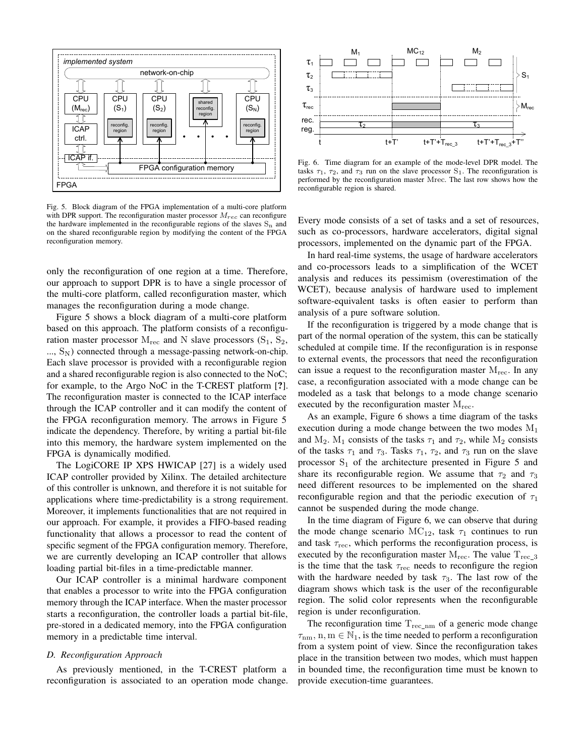

Fig. 5. Block diagram of the FPGA implementation of a multi-core platform with DPR support. The reconfiguration master processor  $M_{rec}$  can reconfigure the hardware implemented in the reconfigurable regions of the slaves  $S_n$  and on the shared reconfigurable region by modifying the content of the FPGA reconfiguration memory.

only the reconfiguration of one region at a time. Therefore, our approach to support DPR is to have a single processor of the multi-core platform, called reconfiguration master, which manages the reconfiguration during a mode change.

Figure 5 shows a block diagram of a multi-core platform based on this approach. The platform consists of a reconfiguration master processor  $M_{\text{rec}}$  and N slave processors  $(S_1, S_2,$  $..., S_N$ ) connected through a message-passing network-on-chip. Each slave processor is provided with a reconfigurable region and a shared reconfigurable region is also connected to the NoC; for example, to the Argo NoC in the T-CREST platform [?]. The reconfiguration master is connected to the ICAP interface through the ICAP controller and it can modify the content of the FPGA reconfiguration memory. The arrows in Figure 5 indicate the dependency. Therefore, by writing a partial bit-file into this memory, the hardware system implemented on the FPGA is dynamically modified.

The LogiCORE IP XPS HWICAP [27] is a widely used ICAP controller provided by Xilinx. The detailed architecture of this controller is unknown, and therefore it is not suitable for applications where time-predictability is a strong requirement. Moreover, it implements functionalities that are not required in our approach. For example, it provides a FIFO-based reading functionality that allows a processor to read the content of specific segment of the FPGA configuration memory. Therefore, we are currently developing an ICAP controller that allows loading partial bit-files in a time-predictable manner.

Our ICAP controller is a minimal hardware component that enables a processor to write into the FPGA configuration memory through the ICAP interface. When the master processor starts a reconfiguration, the controller loads a partial bit-file, pre-stored in a dedicated memory, into the FPGA configuration memory in a predictable time interval.

# *D. Reconfiguration Approach*

As previously mentioned, in the T-CREST platform a reconfiguration is associated to an operation mode change.



Fig. 6. Time diagram for an example of the mode-level DPR model. The tasks  $\tau_1$ ,  $\tau_2$ , and  $\tau_3$  run on the slave processor S<sub>1</sub>. The reconfiguration is performed by the reconfiguration master Mrec. The last row shows how the reconfigurable region is shared.

Every mode consists of a set of tasks and a set of resources, such as co-processors, hardware accelerators, digital signal processors, implemented on the dynamic part of the FPGA.

In hard real-time systems, the usage of hardware accelerators and co-processors leads to a simplification of the WCET analysis and reduces its pessimism (overestimation of the WCET), because analysis of hardware used to implement software-equivalent tasks is often easier to perform than analysis of a pure software solution.

If the reconfiguration is triggered by a mode change that is part of the normal operation of the system, this can be statically scheduled at compile time. If the reconfiguration is in response to external events, the processors that need the reconfiguration can issue a request to the reconfiguration master  $M_{\text{rec}}$ . In any case, a reconfiguration associated with a mode change can be modeled as a task that belongs to a mode change scenario executed by the reconfiguration master  $M_{rec}$ .

As an example, Figure 6 shows a time diagram of the tasks execution during a mode change between the two modes  $M_1$ and M<sub>2</sub>. M<sub>1</sub> consists of the tasks  $\tau_1$  and  $\tau_2$ , while M<sub>2</sub> consists of the tasks  $\tau_1$  and  $\tau_3$ . Tasks  $\tau_1$ ,  $\tau_2$ , and  $\tau_3$  run on the slave processor  $S_1$  of the architecture presented in Figure 5 and share its reconfigurable region. We assume that  $\tau_2$  and  $\tau_3$ need different resources to be implemented on the shared reconfigurable region and that the periodic execution of  $\tau_1$ cannot be suspended during the mode change.

In the time diagram of Figure 6, we can observe that during the mode change scenario  $MC_{12}$ , task  $\tau_1$  continues to run and task  $\tau_{\text{rec}}$ , which performs the reconfiguration process, is executed by the reconfiguration master  $M_{\text{rec}}$ . The value  $T_{\text{rec}_3}$ is the time that the task  $\tau_{\text{rec}}$  needs to reconfigure the region with the hardware needed by task  $\tau_3$ . The last row of the diagram shows which task is the user of the reconfigurable region. The solid color represents when the reconfigurable region is under reconfiguration.

The reconfiguration time  $T_{rec\_nm}$  of a generic mode change  $\tau_{nm}$ ,  $n, m \in \mathbb{N}_1$ , is the time needed to perform a reconfiguration from a system point of view. Since the reconfiguration takes place in the transition between two modes, which must happen in bounded time, the reconfiguration time must be known to provide execution-time guarantees.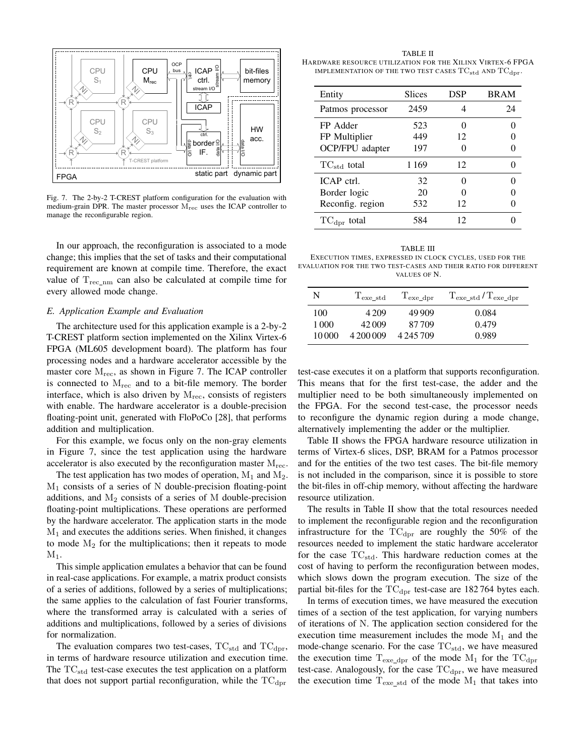

Fig. 7. The 2-by-2 T-CREST platform configuration for the evaluation with medium-grain DPR. The master processor Mrec uses the ICAP controller to manage the reconfigurable region.

In our approach, the reconfiguration is associated to a mode change; this implies that the set of tasks and their computational requirement are known at compile time. Therefore, the exact value of  $T_{\text{rec\_nm}}$  can also be calculated at compile time for every allowed mode change.

## *E. Application Example and Evaluation*

The architecture used for this application example is a 2-by-2 T-CREST platform section implemented on the Xilinx Virtex-6 FPGA (ML605 development board). The platform has four processing nodes and a hardware accelerator accessible by the master core  $M_{rec}$ , as shown in Figure 7. The ICAP controller is connected to  $M_{\text{rec}}$  and to a bit-file memory. The border interface, which is also driven by  $M_{rec}$ , consists of registers with enable. The hardware accelerator is a double-precision floating-point unit, generated with FloPoCo [28], that performs addition and multiplication.

For this example, we focus only on the non-gray elements in Figure 7, since the test application using the hardware accelerator is also executed by the reconfiguration master  $M_{rec}$ .

The test application has two modes of operation,  $M_1$  and  $M_2$ . M<sup>1</sup> consists of a series of N double-precision floating-point additions, and  $M_2$  consists of a series of M double-precision floating-point multiplications. These operations are performed by the hardware accelerator. The application starts in the mode  $M<sub>1</sub>$  and executes the additions series. When finished, it changes to mode  $M_2$  for the multiplications; then it repeats to mode  $M_1$ .

This simple application emulates a behavior that can be found in real-case applications. For example, a matrix product consists of a series of additions, followed by a series of multiplications; the same applies to the calculation of fast Fourier transforms, where the transformed array is calculated with a series of additions and multiplications, followed by a series of divisions for normalization.

The evaluation compares two test-cases,  $TC_{std}$  and  $TC_{dpr}$ , in terms of hardware resource utilization and execution time. The  $TC_{std}$  test-case executes the test application on a platform that does not support partial reconfiguration, while the  $TC_{\text{dpr}}$ 

TABLE II HARDWARE RESOURCE UTILIZATION FOR THE XILINX VIRTEX-6 FPGA IMPLEMENTATION OF THE TWO TEST CASES  $TC_{std}$  and  $TC_{dpr}$ .

| Entity                  | <b>Slices</b> | <b>DSP</b>        | <b>BRAM</b> |
|-------------------------|---------------|-------------------|-------------|
| Patmos processor        | 2459          |                   | 24          |
| FP Adder                | 523           | 0                 |             |
| FP Multiplier           | 449           | 12                |             |
| OCP/FPU adapter         | 197           |                   |             |
| $TC_{std}$ total        | 1 1 6 9       | 12                |             |
| ICAP ctrl.              | 32            | $\mathbf{\Omega}$ |             |
| Border logic            | 20            |                   |             |
| Reconfig. region        | 532           | 12                |             |
| $TC_{\text{dpr}}$ total | 584           | 12                |             |

TABLE III EXECUTION TIMES, EXPRESSED IN CLOCK CYCLES, USED FOR THE EVALUATION FOR THE TWO TEST-CASES AND THEIR RATIO FOR DIFFERENT VALUES OF N.

| N     | $T_{\rm exc\_std}$ | $T_{\rm exe\_dpr}$ | $T_{\text{exe\_std}}/T_{\text{exe\_dpr}}$ |
|-------|--------------------|--------------------|-------------------------------------------|
| 100   | 4 2 0 9            | 49 909             | 0.084                                     |
| 1 000 | 42009              | 87709              | 0.479                                     |
| 10000 | 4 200 009          | 4 245 709          | 0.989                                     |

test-case executes it on a platform that supports reconfiguration. This means that for the first test-case, the adder and the multiplier need to be both simultaneously implemented on the FPGA. For the second test-case, the processor needs to reconfigure the dynamic region during a mode change, alternatively implementing the adder or the multiplier.

Table II shows the FPGA hardware resource utilization in terms of Virtex-6 slices, DSP, BRAM for a Patmos processor and for the entities of the two test cases. The bit-file memory is not included in the comparison, since it is possible to store the bit-files in off-chip memory, without affecting the hardware resource utilization.

The results in Table II show that the total resources needed to implement the reconfigurable region and the reconfiguration infrastructure for the  $TC<sub>dpr</sub>$  are roughly the 50% of the resources needed to implement the static hardware accelerator for the case  $TC_{std}$ . This hardware reduction comes at the cost of having to perform the reconfiguration between modes, which slows down the program execution. The size of the partial bit-files for the  $TC<sub>dpr</sub>$  test-case are 182764 bytes each.

In terms of execution times, we have measured the execution times of a section of the test application, for varying numbers of iterations of N. The application section considered for the execution time measurement includes the mode  $M_1$  and the mode-change scenario. For the case  $TC_{std}$ , we have measured the execution time  $T_{exe\_dpr}$  of the mode  $M_1$  for the  $TC_{dpr}$ test-case. Analogously, for the case  $TC<sub>dpr</sub>$ , we have measured the execution time  $T_{\text{exe}\_\text{std}}$  of the mode  $M_1$  that takes into